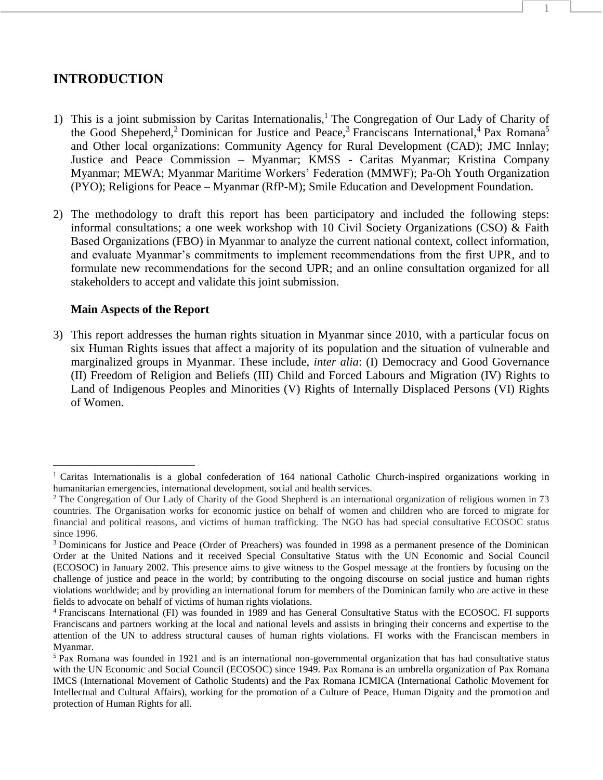# **INTRODUCTION**

1) This is a joint submission by Caritas Internationalis,<sup>1</sup> The Congregation of Our Lady of Charity of the Good Shepeherd,<sup>2</sup> Dominican for Justice and Peace,<sup>3</sup> Franciscans International,<sup>4</sup> Pax Romana<sup>5</sup> and Other local organizations: Community Agency for Rural Development (CAD); JMC Innlay; Justice and Peace Commission – Myanmar; KMSS - Caritas Myanmar; Kristina Company Myanmar; MEWA; Myanmar Maritime Workers' Federation (MMWF); Pa-Oh Youth Organization (PYO); Religions for Peace – Myanmar (RfP-M); Smile Education and Development Foundation.

1

2) The methodology to draft this report has been participatory and included the following steps: informal consultations; a one week workshop with 10 Civil Society Organizations (CSO) & Faith Based Organizations (FBO) in Myanmar to analyze the current national context, collect information, and evaluate Myanmar's commitments to implement recommendations from the first UPR, and to formulate new recommendations for the second UPR; and an online consultation organized for all stakeholders to accept and validate this joint submission.

### **Main Aspects of the Report**

 $\overline{a}$ 

3) This report addresses the human rights situation in Myanmar since 2010, with a particular focus on six Human Rights issues that affect a majority of its population and the situation of vulnerable and marginalized groups in Myanmar. These include, *inter alia*: (I) Democracy and Good Governance (II) Freedom of Religion and Beliefs (III) Child and Forced Labours and Migration (IV) Rights to Land of Indigenous Peoples and Minorities (V) Rights of Internally Displaced Persons (VI) Rights of Women.

<sup>&</sup>lt;sup>1</sup> Caritas Internationalis is a global confederation of 164 national Catholic Church-inspired organizations working in humanitarian emergencies, international development, social and health services.

<sup>&</sup>lt;sup>2</sup> The Congregation of Our Lady of Charity of the Good Shepherd is an international organization of religious women in 73 countries. The Organisation works for economic justice on behalf of women and children who are forced to migrate for financial and political reasons, and victims of human trafficking. The NGO has had special consultative ECOSOC status since 1996.

<sup>3</sup> Dominicans for Justice and Peace (Order of Preachers) was founded in 1998 as a permanent presence of the Dominican Order at the United Nations and it received Special Consultative Status with the UN Economic and Social Council (ECOSOC) in January 2002. This presence aims to give witness to the Gospel message at the frontiers by focusing on the challenge of justice and peace in the world; by contributing to the ongoing discourse on social justice and human rights violations worldwide; and by providing an international forum for members of the Dominican family who are active in these fields to advocate on behalf of victims of human rights violations.

<sup>4</sup> Franciscans International (FI) was founded in 1989 and has General Consultative Status with the ECOSOC. FI supports Franciscans and partners working at the local and national levels and assists in bringing their concerns and expertise to the attention of the UN to address structural causes of human rights violations. FI works with the Franciscan members in Myanmar.

<sup>5</sup> Pax Romana was founded in 1921 and is an international non-governmental organization that has had consultative status with the UN Economic and Social Council (ECOSOC) since 1949. Pax Romana is an umbrella organization of Pax Romana IMCS (International Movement of Catholic Students) and the Pax Romana ICMICA (International Catholic Movement for Intellectual and Cultural Affairs), working for the promotion of a Culture of Peace, Human Dignity and the promotion and protection of Human Rights for all.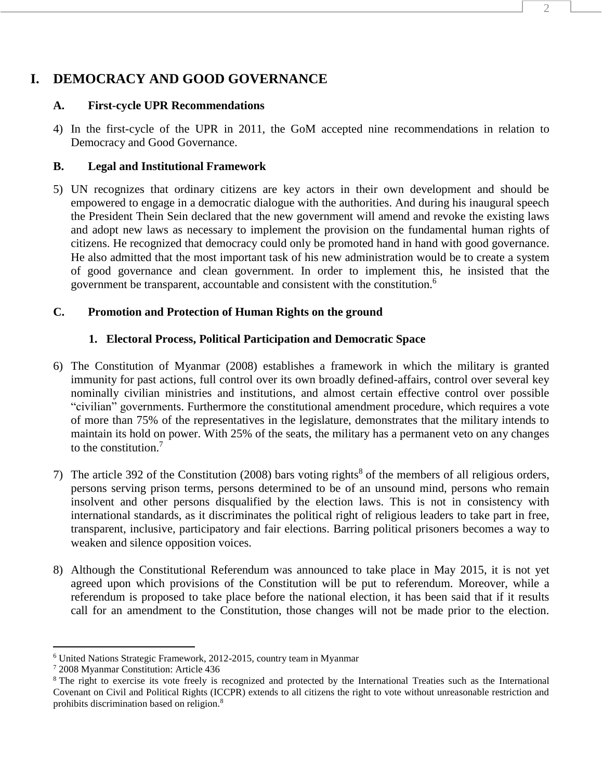# **I. DEMOCRACY AND GOOD GOVERNANCE**

## **A. First-cycle UPR Recommendations**

4) In the first-cycle of the UPR in 2011, the GoM accepted nine recommendations in relation to Democracy and Good Governance.

## **B. Legal and Institutional Framework**

5) UN recognizes that ordinary citizens are key actors in their own development and should be empowered to engage in a democratic dialogue with the authorities. And during his inaugural speech the President Thein Sein declared that the new government will amend and revoke the existing laws and adopt new laws as necessary to implement the provision on the fundamental human rights of citizens. He recognized that democracy could only be promoted hand in hand with good governance. He also admitted that the most important task of his new administration would be to create a system of good governance and clean government. In order to implement this, he insisted that the government be transparent, accountable and consistent with the constitution. 6

## **C. Promotion and Protection of Human Rights on the ground**

## **1. Electoral Process, Political Participation and Democratic Space**

- 6) The Constitution of Myanmar (2008) establishes a framework in which the military is granted immunity for past actions, full control over its own broadly defined-affairs, control over several key nominally civilian ministries and institutions, and almost certain effective control over possible "civilian" governments. Furthermore the constitutional amendment procedure, which requires a vote of more than 75% of the representatives in the legislature, demonstrates that the military intends to maintain its hold on power. With 25% of the seats, the military has a permanent veto on any changes to the constitution.<sup>7</sup>
- 7) The article 392 of the Constitution (2008) bars voting rights 8 of the members of all religious orders, persons serving prison terms, persons determined to be of an unsound mind, persons who remain insolvent and other persons disqualified by the election laws. This is not in consistency with international standards, as it discriminates the political right of religious leaders to take part in free, transparent, inclusive, participatory and fair elections. Barring political prisoners becomes a way to weaken and silence opposition voices.
- 8) Although the Constitutional Referendum was announced to take place in May 2015, it is not yet agreed upon which provisions of the Constitution will be put to referendum. Moreover, while a referendum is proposed to take place before the national election, it has been said that if it results call for an amendment to the Constitution, those changes will not be made prior to the election.

 $\overline{a}$ 

<sup>6</sup> United Nations Strategic Framework, 2012-2015, country team in Myanmar

<sup>7</sup> 2008 Myanmar Constitution: Article 436

<sup>&</sup>lt;sup>8</sup> The right to exercise its vote freely is recognized and protected by the International Treaties such as the International Covenant on Civil and Political Rights (ICCPR) extends to all citizens the right to vote without unreasonable restriction and prohibits discrimination based on religion.8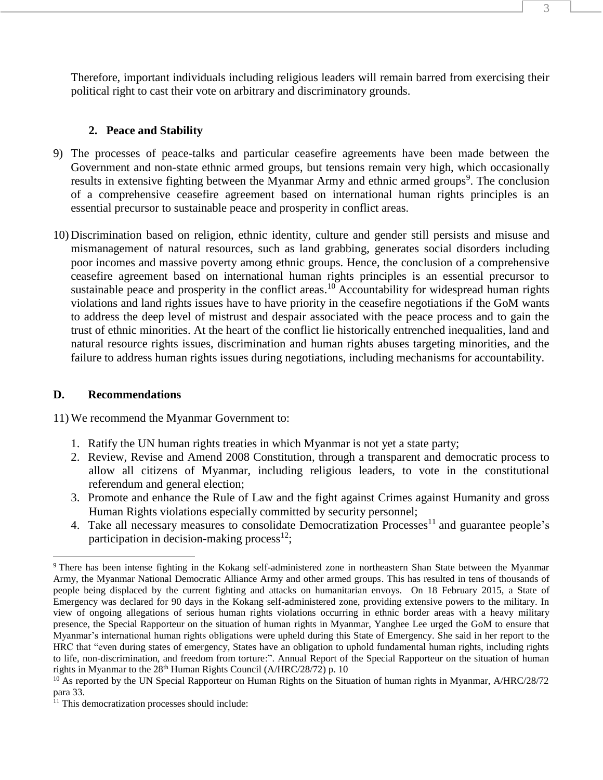Therefore, important individuals including religious leaders will remain barred from exercising their political right to cast their vote on arbitrary and discriminatory grounds.

## **2. Peace and Stability**

- 9) The processes of peace-talks and particular ceasefire agreements have been made between the Government and non-state ethnic armed groups, but tensions remain very high, which occasionally results in extensive fighting between the Myanmar Army and ethnic armed groups<sup>9</sup>. The conclusion of a comprehensive ceasefire agreement based on international human rights principles is an essential precursor to sustainable peace and prosperity in conflict areas.
- 10) Discrimination based on religion, ethnic identity, culture and gender still persists and misuse and mismanagement of natural resources, such as land grabbing, generates social disorders including poor incomes and massive poverty among ethnic groups. Hence, the conclusion of a comprehensive ceasefire agreement based on international human rights principles is an essential precursor to sustainable peace and prosperity in the conflict areas.<sup>10</sup> Accountability for widespread human rights violations and land rights issues have to have priority in the ceasefire negotiations if the GoM wants to address the deep level of mistrust and despair associated with the peace process and to gain the trust of ethnic minorities. At the heart of the conflict lie historically entrenched inequalities, land and natural resource rights issues, discrimination and human rights abuses targeting minorities, and the failure to address human rights issues during negotiations, including mechanisms for accountability.

### **D. Recommendations**

- 1. Ratify the UN human rights treaties in which Myanmar is not yet a state party;
- 2. Review, Revise and Amend 2008 Constitution, through a transparent and democratic process to allow all citizens of Myanmar, including religious leaders, to vote in the constitutional referendum and general election;
- 3. Promote and enhance the Rule of Law and the fight against Crimes against Humanity and gross Human Rights violations especially committed by security personnel;
- 4. Take all necessary measures to consolidate Democratization Processes<sup>11</sup> and guarantee people's participation in decision-making process $^{12}$ ;

 $\overline{a}$ <sup>9</sup> There has been intense fighting in the Kokang self-administered zone in northeastern Shan State between the Myanmar Army, the Myanmar National Democratic Alliance Army and other armed groups. This has resulted in tens of thousands of people being displaced by the current fighting and attacks on humanitarian envoys. On 18 February 2015, a State of Emergency was declared for 90 days in the Kokang self-administered zone, providing extensive powers to the military. In view of ongoing allegations of serious human rights violations occurring in ethnic border areas with a heavy military presence, the Special Rapporteur on the situation of human rights in Myanmar, Yanghee Lee urged the GoM to ensure that Myanmar's international human rights obligations were upheld during this State of Emergency. She said in her report to the HRC that "even during states of emergency, States have an obligation to uphold fundamental human rights, including rights to life, non-discrimination, and freedom from torture:". Annual Report of the Special Rapporteur on the situation of human rights in Myanmar to the  $28<sup>th</sup>$  Human Rights Council (A/HRC/28/72) p. 10

<sup>&</sup>lt;sup>10</sup> As reported by the UN Special Rapporteur on Human Rights on the Situation of human rights in Myanmar, A/HRC/28/72 para 33.

 $11$  This democratization processes should include: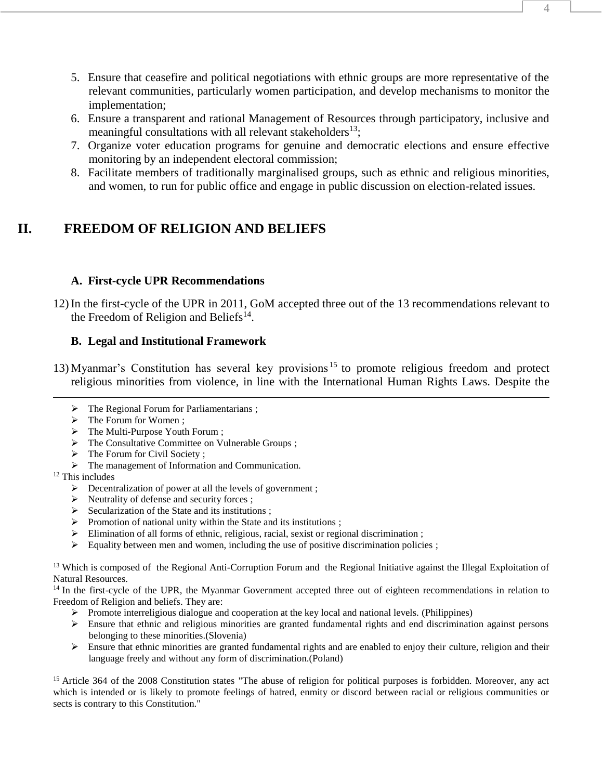- 5. Ensure that ceasefire and political negotiations with ethnic groups are more representative of the relevant communities, particularly women participation, and develop mechanisms to monitor the implementation;
- 6. Ensure a transparent and rational Management of Resources through participatory, inclusive and meaningful consultations with all relevant stakeholders<sup>13</sup>;
- 7. Organize voter education programs for genuine and democratic elections and ensure effective monitoring by an independent electoral commission;
- 8. Facilitate members of traditionally marginalised groups, such as ethnic and religious minorities, and women, to run for public office and engage in public discussion on election-related issues.

# **II. FREEDOM OF RELIGION AND BELIEFS**

## **A. First-cycle UPR Recommendations**

12) In the first-cycle of the UPR in 2011, GoM accepted three out of the 13 recommendations relevant to the Freedom of Religion and Beliefs $^{14}$ .

# **B. Legal and Institutional Framework**

- 13) Myanmar's Constitution has several key provisions <sup>15</sup> to promote religious freedom and protect religious minorities from violence, in line with the International Human Rights Laws. Despite the
	- $\triangleright$  The Regional Forum for Parliamentarians ;
	- $\triangleright$  The Forum for Women ;
	- > The Multi-Purpose Youth Forum ;
	- > The Consultative Committee on Vulnerable Groups ;
	- $\triangleright$  The Forum for Civil Society ;
	- $\triangleright$  The management of Information and Communication.
- <sup>12</sup> This includes

 $\overline{a}$ 

- $\triangleright$  Decentralization of power at all the levels of government ;
- $\triangleright$  Neutrality of defense and security forces ;
- $\triangleright$  Secularization of the State and its institutions ;
- $\triangleright$  Promotion of national unity within the State and its institutions ;
- $\triangleright$  Elimination of all forms of ethnic, religious, racial, sexist or regional discrimination;
- $\triangleright$  Equality between men and women, including the use of positive discrimination policies ;

<sup>13</sup> Which is composed of the Regional Anti-Corruption Forum and the Regional Initiative against the Illegal Exploitation of Natural Resources.

<sup>14</sup> In the first-cycle of the UPR, the Myanmar Government accepted three out of eighteen recommendations in relation to Freedom of Religion and beliefs. They are:

- Promote interreligious dialogue and cooperation at the key local and national levels. (Philippines)
- $\triangleright$  Ensure that ethnic and religious minorities are granted fundamental rights and end discrimination against persons belonging to these minorities.(Slovenia)
- $\triangleright$  Ensure that ethnic minorities are granted fundamental rights and are enabled to enjoy their culture, religion and their language freely and without any form of discrimination.(Poland)

<sup>15</sup> Article 364 of the 2008 Constitution states "The abuse of religion for political purposes is forbidden. Moreover, any act which is intended or is likely to promote feelings of hatred, enmity or discord between racial or religious communities or sects is contrary to this Constitution."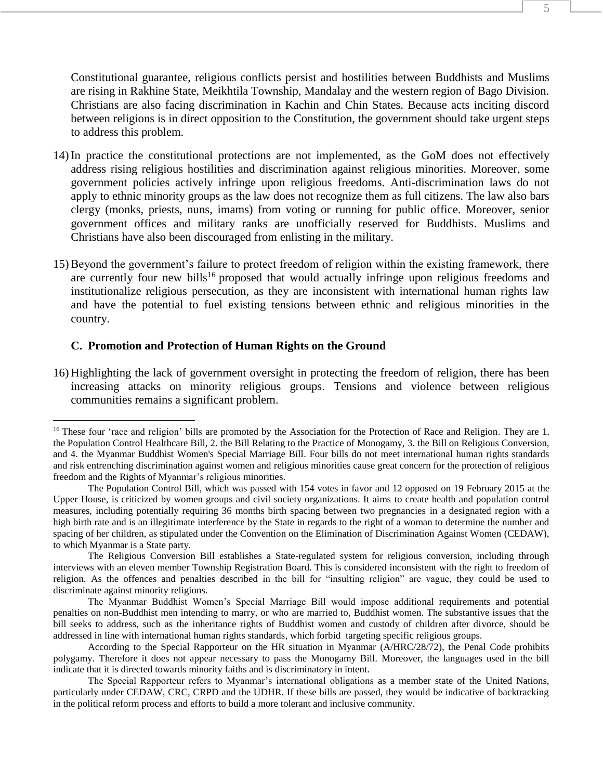Constitutional guarantee, religious conflicts persist and hostilities between Buddhists and Muslims are rising in Rakhine State, Meikhtila Township, Mandalay and the western region of Bago Division. Christians are also facing discrimination in Kachin and Chin States. Because acts inciting discord between religions is in direct opposition to the Constitution, the government should take urgent steps to address this problem.

- 14) In practice the constitutional protections are not implemented, as the GoM does not effectively address rising religious hostilities and discrimination against religious minorities. Moreover, some government policies actively infringe upon religious freedoms. Anti-discrimination laws do not apply to ethnic minority groups as the law does not recognize them as full citizens. The law also bars clergy (monks, priests, nuns, imams) from voting or running for public office. Moreover, senior government offices and military ranks are unofficially reserved for Buddhists. Muslims and Christians have also been discouraged from enlisting in the military.
- 15) Beyond the government's failure to protect freedom of religion within the existing framework, there are currently four new bills<sup>16</sup> proposed that would actually infringe upon religious freedoms and institutionalize religious persecution, as they are inconsistent with international human rights law and have the potential to fuel existing tensions between ethnic and religious minorities in the country.

#### **C. Promotion and Protection of Human Rights on the Ground**

 $\overline{a}$ 

16) Highlighting the lack of government oversight in protecting the freedom of religion, there has been increasing attacks on minority religious groups. Tensions and violence between religious communities remains a significant problem.

<sup>&</sup>lt;sup>16</sup> These four 'race and religion' bills are promoted by the Association for the Protection of Race and Religion. They are 1. the Population Control Healthcare Bill, 2. the Bill Relating to the Practice of Monogamy, 3. the Bill on Religious Conversion, and 4. the Myanmar Buddhist Women's Special Marriage Bill. Four bills do not meet international human rights standards and risk entrenching discrimination against women and religious minorities cause great concern for the protection of religious freedom and the Rights of Myanmar's religious minorities.

The Population Control Bill, which was passed with 154 votes in favor and 12 opposed on 19 February 2015 at the Upper House, is criticized by women groups and civil society organizations. It aims to create health and population control measures, including potentially requiring 36 months birth spacing between two pregnancies in a designated region with a high birth rate and is an illegitimate interference by the State in regards to the right of a woman to determine the number and spacing of her children, as stipulated under the Convention on the Elimination of Discrimination Against Women (CEDAW), to which Myanmar is a State party.

The Religious Conversion Bill establishes a State-regulated system for religious conversion, including through interviews with an eleven member Township Registration Board. This is considered inconsistent with the right to freedom of religion. As the offences and penalties described in the bill for "insulting religion" are vague, they could be used to discriminate against minority religions.

The Myanmar Buddhist Women's Special Marriage Bill would impose additional requirements and potential penalties on non-Buddhist men intending to marry, or who are married to, Buddhist women. The substantive issues that the bill seeks to address, such as the inheritance rights of Buddhist women and custody of children after divorce, should be addressed in line with international human rights standards, which forbid targeting specific religious groups.

According to the Special Rapporteur on the HR situation in Myanmar (A/HRC/28/72), the Penal Code prohibits polygamy. Therefore it does not appear necessary to pass the Monogamy Bill. Moreover, the languages used in the bill indicate that it is directed towards minority faiths and is discriminatory in intent.

The Special Rapporteur refers to Myanmar's international obligations as a member state of the United Nations, particularly under CEDAW, CRC, CRPD and the UDHR. If these bills are passed, they would be indicative of backtracking in the political reform process and efforts to build a more tolerant and inclusive community.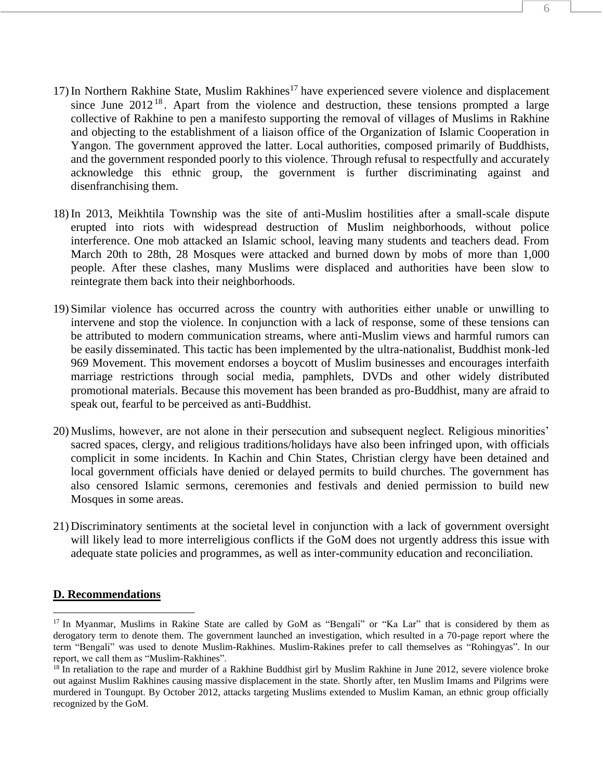- 17) In Northern Rakhine State, Muslim Rakhines<sup>17</sup> have experienced severe violence and displacement since June  $2012^{18}$ . Apart from the violence and destruction, these tensions prompted a large collective of Rakhine to pen a manifesto supporting the removal of villages of Muslims in Rakhine and objecting to the establishment of a liaison office of the Organization of Islamic Cooperation in Yangon. The government approved the latter. Local authorities, composed primarily of Buddhists, and the government responded poorly to this violence. Through refusal to respectfully and accurately acknowledge this ethnic group, the government is further discriminating against and disenfranchising them.
- 18) In 2013, Meikhtila Township was the site of anti-Muslim hostilities after a small-scale dispute erupted into riots with widespread destruction of Muslim neighborhoods, without police interference. One mob attacked an Islamic school, leaving many students and teachers dead. From March 20th to 28th, 28 Mosques were attacked and burned down by mobs of more than 1,000 people. After these clashes, many Muslims were displaced and authorities have been slow to reintegrate them back into their neighborhoods.
- 19) Similar violence has occurred across the country with authorities either unable or unwilling to intervene and stop the violence. In conjunction with a lack of response, some of these tensions can be attributed to modern communication streams, where anti-Muslim views and harmful rumors can be easily disseminated. This tactic has been implemented by the ultra-nationalist, Buddhist monk-led 969 Movement. This movement endorses a boycott of Muslim businesses and encourages interfaith marriage restrictions through social media, pamphlets, DVDs and other widely distributed promotional materials. Because this movement has been branded as pro-Buddhist, many are afraid to speak out, fearful to be perceived as anti-Buddhist.
- 20) Muslims, however, are not alone in their persecution and subsequent neglect. Religious minorities' sacred spaces, clergy, and religious traditions/holidays have also been infringed upon, with officials complicit in some incidents. In Kachin and Chin States, Christian clergy have been detained and local government officials have denied or delayed permits to build churches. The government has also censored Islamic sermons, ceremonies and festivals and denied permission to build new Mosques in some areas.
- 21) Discriminatory sentiments at the societal level in conjunction with a lack of government oversight will likely lead to more interreligious conflicts if the GoM does not urgently address this issue with adequate state policies and programmes, as well as inter-community education and reconciliation.

#### **D. Recommendations**

 $\overline{a}$ 

<sup>&</sup>lt;sup>17</sup> In Myanmar, Muslims in Rakine State are called by GoM as "Bengali" or "Ka Lar" that is considered by them as derogatory term to denote them. The government launched an investigation, which resulted in a 70-page report where the term "Bengali" was used to denote Muslim-Rakhines. Muslim-Rakines prefer to call themselves as "Rohingyas". In our report, we call them as "Muslim-Rakhines".

 $18$  In retaliation to the rape and murder of a Rakhine Buddhist girl by Muslim Rakhine in June 2012, severe violence broke out against Muslim Rakhines causing massive displacement in the state. Shortly after, ten Muslim Imams and Pilgrims were murdered in Toungupt. By October 2012, attacks targeting Muslims extended to Muslim Kaman, an ethnic group officially recognized by the GoM.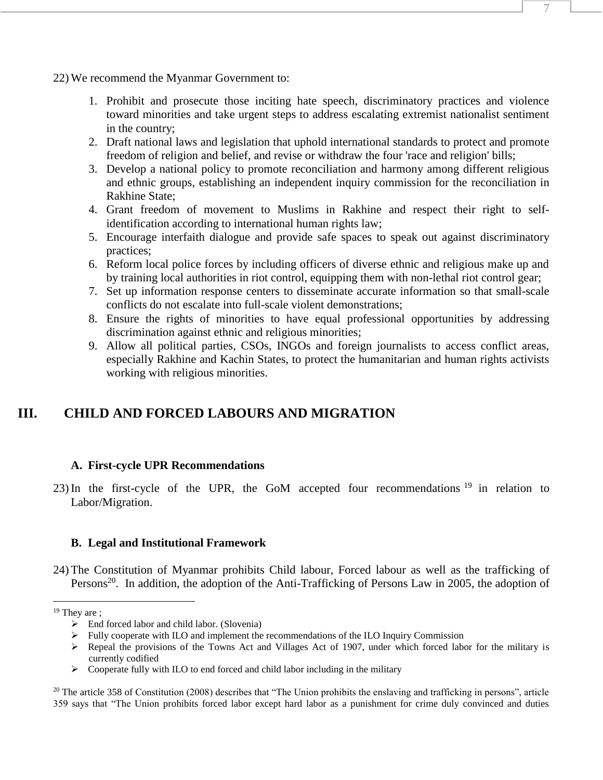- 22) We recommend the Myanmar Government to:
	- 1. Prohibit and prosecute those inciting hate speech, discriminatory practices and violence toward minorities and take urgent steps to address escalating extremist nationalist sentiment in the country;
	- 2. Draft national laws and legislation that uphold international standards to protect and promote freedom of religion and belief, and revise or withdraw the four 'race and religion' bills;
	- 3. Develop a national policy to promote reconciliation and harmony among different religious and ethnic groups, establishing an independent inquiry commission for the reconciliation in Rakhine State;
	- 4. Grant freedom of movement to Muslims in Rakhine and respect their right to selfidentification according to international human rights law;
	- 5. Encourage interfaith dialogue and provide safe spaces to speak out against discriminatory practices;
	- 6. Reform local police forces by including officers of diverse ethnic and religious make up and by training local authorities in riot control, equipping them with non-lethal riot control gear;
	- 7. Set up information response centers to disseminate accurate information so that small-scale conflicts do not escalate into full-scale violent demonstrations;
	- 8. Ensure the rights of minorities to have equal professional opportunities by addressing discrimination against ethnic and religious minorities;
	- 9. Allow all political parties, CSOs, INGOs and foreign journalists to access conflict areas, especially Rakhine and Kachin States, to protect the humanitarian and human rights activists working with religious minorities.

# **III. CHILD AND FORCED LABOURS AND MIGRATION**

### **A. First-cycle UPR Recommendations**

23) In the first-cycle of the UPR, the GoM accepted four recommendations <sup>19</sup> in relation to Labor/Migration.

#### **B. Legal and Institutional Framework**

24) The Constitution of Myanmar prohibits Child labour, Forced labour as well as the trafficking of Persons<sup>20</sup>. In addition, the adoption of the Anti-Trafficking of Persons Law in 2005, the adoption of

 $\overline{a}$ 

 $\triangleright$  Cooperate fully with ILO to end forced and child labor including in the military

 $20$  The article 358 of Constitution (2008) describes that "The Union prohibits the enslaving and trafficking in persons", article 359 says that "The Union prohibits forced labor except hard labor as a punishment for crime duly convinced and duties

 $19$  They are ;

 $\triangleright$  End forced labor and child labor. (Slovenia)

 $\triangleright$  Fully cooperate with ILO and implement the recommendations of the ILO Inquiry Commission

 $\triangleright$  Repeal the provisions of the Towns Act and Villages Act of 1907, under which forced labor for the military is currently codified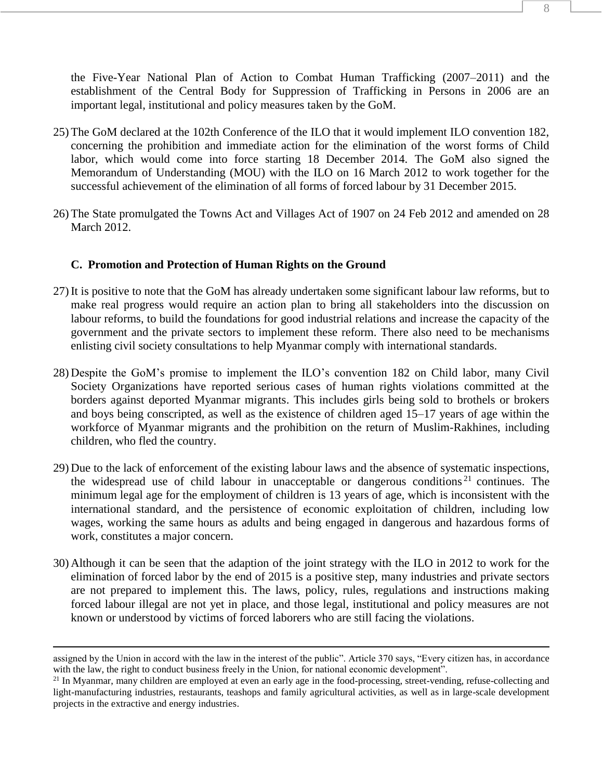- 25) The GoM declared at the 102th Conference of the ILO that it would implement ILO convention 182, concerning the prohibition and immediate action for the elimination of the worst forms of Child labor, which would come into force starting 18 December 2014. The GoM also signed the Memorandum of Understanding (MOU) with the ILO on 16 March 2012 to work together for the successful achievement of the elimination of all forms of forced labour by 31 December 2015.
- 26) The State promulgated the Towns Act and Villages Act of 1907 on 24 Feb 2012 and amended on 28 March 2012.

# **C. Promotion and Protection of Human Rights on the Ground**

- 27) It is positive to note that the GoM has already undertaken some significant labour law reforms, but to make real progress would require an action plan to bring all stakeholders into the discussion on labour reforms, to build the foundations for good industrial relations and increase the capacity of the government and the private sectors to implement these reform. There also need to be mechanisms enlisting civil society consultations to help Myanmar comply with international standards.
- 28) Despite the GoM's promise to implement the ILO's convention 182 on Child labor, many Civil Society Organizations have reported serious cases of human rights violations committed at the borders against deported Myanmar migrants. This includes girls being sold to brothels or brokers and boys being conscripted, as well as the existence of children aged 15–17 years of age within the workforce of Myanmar migrants and the prohibition on the return of Muslim-Rakhines, including children, who fled the country.
- 29) Due to the lack of enforcement of the existing labour laws and the absence of systematic inspections, the widespread use of child labour in unacceptable or dangerous conditions<sup>21</sup> continues. The minimum legal age for the employment of children is 13 years of age, which is inconsistent with the international standard, and the persistence of economic exploitation of children, including low wages, working the same hours as adults and being engaged in dangerous and hazardous forms of work, constitutes a major concern.
- 30) Although it can be seen that the adaption of the joint strategy with the ILO in 2012 to work for the elimination of forced labor by the end of 2015 is a positive step, many industries and private sectors are not prepared to implement this. The laws, policy, rules, regulations and instructions making forced labour illegal are not yet in place, and those legal, institutional and policy measures are not known or understood by victims of forced laborers who are still facing the violations.

 $\overline{a}$ 

assigned by the Union in accord with the law in the interest of the public". Article 370 says, "Every citizen has, in accordance with the law, the right to conduct business freely in the Union, for national economic development".

<sup>&</sup>lt;sup>21</sup> In Myanmar, many children are employed at even an early age in the food-processing, street-vending, refuse-collecting and light-manufacturing industries, restaurants, teashops and family agricultural activities, as well as in large-scale development projects in the extractive and energy industries.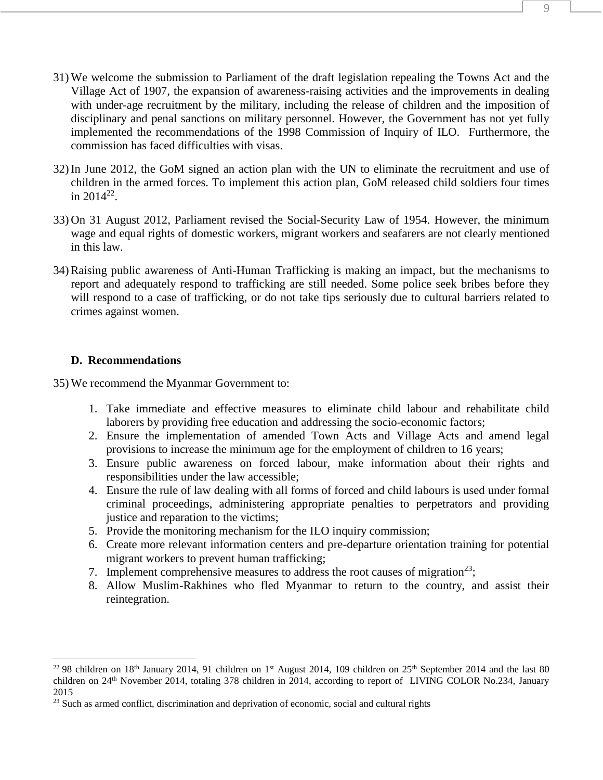- 31) We welcome the submission to Parliament of the draft legislation repealing the Towns Act and the Village Act of 1907, the expansion of awareness-raising activities and the improvements in dealing with under-age recruitment by the military, including the release of children and the imposition of disciplinary and penal sanctions on military personnel. However, the Government has not yet fully implemented the recommendations of the 1998 Commission of Inquiry of ILO. Furthermore, the commission has faced difficulties with visas.
- 32) In June 2012, the GoM signed an action plan with the UN to eliminate the recruitment and use of children in the armed forces. To implement this action plan, GoM released child soldiers four times in  $2014^{22}$ .
- 33) On 31 August 2012, Parliament revised the Social-Security Law of 1954. However, the minimum wage and equal rights of domestic workers, migrant workers and seafarers are not clearly mentioned in this law.
- 34) Raising public awareness of Anti-Human Trafficking is making an impact, but the mechanisms to report and adequately respond to trafficking are still needed. Some police seek bribes before they will respond to a case of trafficking, or do not take tips seriously due to cultural barriers related to crimes against women.

# **D. Recommendations**

 $\overline{a}$ 

- 1. Take immediate and effective measures to eliminate child labour and rehabilitate child laborers by providing free education and addressing the socio-economic factors;
- 2. Ensure the implementation of amended Town Acts and Village Acts and amend legal provisions to increase the minimum age for the employment of children to 16 years;
- 3. Ensure public awareness on forced labour, make information about their rights and responsibilities under the law accessible;
- 4. Ensure the rule of law dealing with all forms of forced and child labours is used under formal criminal proceedings, administering appropriate penalties to perpetrators and providing justice and reparation to the victims;
- 5. Provide the monitoring mechanism for the ILO inquiry commission;
- 6. Create more relevant information centers and pre-departure orientation training for potential migrant workers to prevent human trafficking;
- 7. Implement comprehensive measures to address the root causes of migration<sup>23</sup>;
- 8. Allow Muslim-Rakhines who fled Myanmar to return to the country, and assist their reintegration.

<sup>&</sup>lt;sup>22</sup> 98 children on 18<sup>th</sup> January 2014, 91 children on 1<sup>st</sup> August 2014, 109 children on 25<sup>th</sup> September 2014 and the last 80 children on 24<sup>th</sup> November 2014, totaling 378 children in 2014, according to report of LIVING COLOR No.234, January 2015

<sup>&</sup>lt;sup>23</sup> Such as armed conflict, discrimination and deprivation of economic, social and cultural rights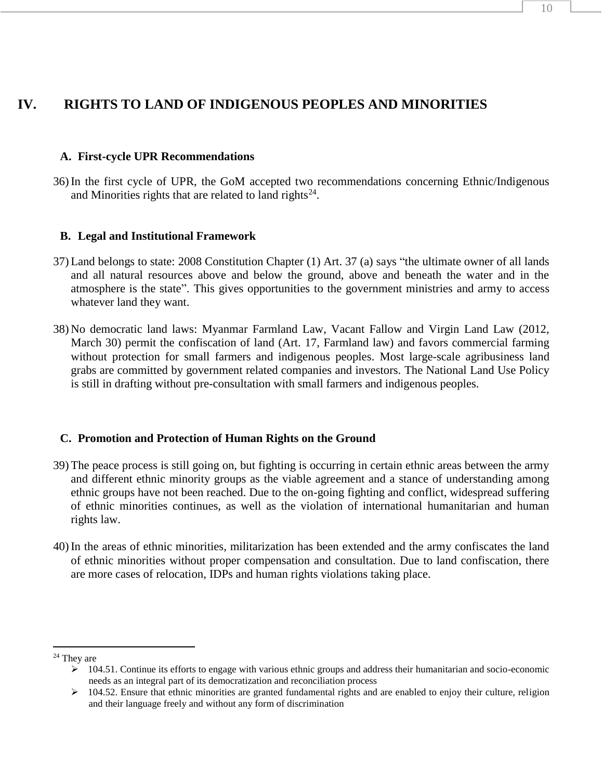# **IV. RIGHTS TO LAND OF INDIGENOUS PEOPLES AND MINORITIES**

## **A. First-cycle UPR Recommendations**

36) In the first cycle of UPR, the GoM accepted two recommendations concerning Ethnic/Indigenous and Minorities rights that are related to land rights<sup>24</sup>.

## **B. Legal and Institutional Framework**

- 37) Land belongs to state: 2008 Constitution Chapter (1) Art. 37 (a) says "the ultimate owner of all lands and all natural resources above and below the ground, above and beneath the water and in the atmosphere is the state". This gives opportunities to the government ministries and army to access whatever land they want.
- 38) No democratic land laws: Myanmar Farmland Law, Vacant Fallow and Virgin Land Law (2012, March 30) permit the confiscation of land (Art. 17, Farmland law) and favors commercial farming without protection for small farmers and indigenous peoples. Most large-scale agribusiness land grabs are committed by government related companies and investors. The National Land Use Policy is still in drafting without pre-consultation with small farmers and indigenous peoples.

# **C. Promotion and Protection of Human Rights on the Ground**

- 39) The peace process is still going on, but fighting is occurring in certain ethnic areas between the army and different ethnic minority groups as the viable agreement and a stance of understanding among ethnic groups have not been reached. Due to the on-going fighting and conflict, widespread suffering of ethnic minorities continues, as well as the violation of international humanitarian and human rights law.
- 40) In the areas of ethnic minorities, militarization has been extended and the army confiscates the land of ethnic minorities without proper compensation and consultation. Due to land confiscation, there are more cases of relocation, IDPs and human rights violations taking place.

 $\overline{a}$ <sup>24</sup> They are

 $\geq 104.51$ . Continue its efforts to engage with various ethnic groups and address their humanitarian and socio-economic needs as an integral part of its democratization and reconciliation process

 $\geq 104.52$ . Ensure that ethnic minorities are granted fundamental rights and are enabled to enjoy their culture, religion and their language freely and without any form of discrimination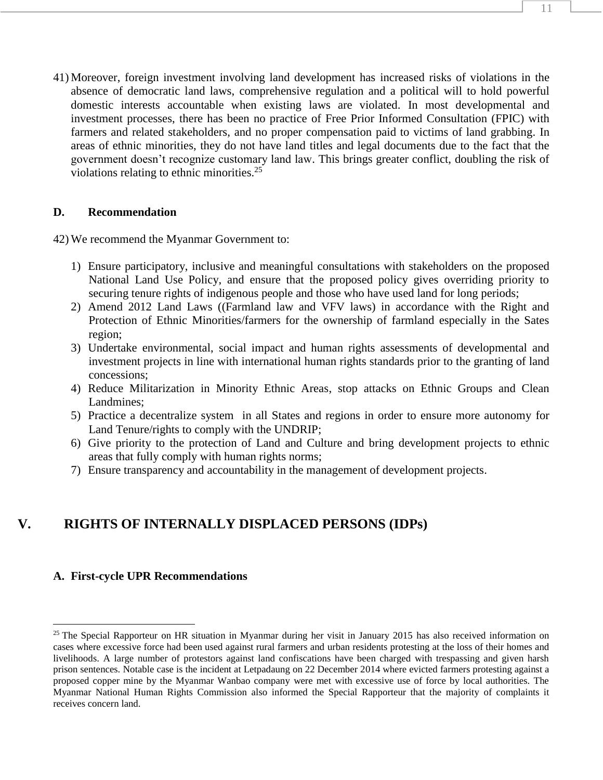41) Moreover, foreign investment involving land development has increased risks of violations in the absence of democratic land laws, comprehensive regulation and a political will to hold powerful domestic interests accountable when existing laws are violated. In most developmental and investment processes, there has been no practice of Free Prior Informed Consultation (FPIC) with farmers and related stakeholders, and no proper compensation paid to victims of land grabbing. In areas of ethnic minorities, they do not have land titles and legal documents due to the fact that the government doesn't recognize customary land law. This brings greater conflict, doubling the risk of violations relating to ethnic minorities. 25

### **D. Recommendation**

42) We recommend the Myanmar Government to:

- 1) Ensure participatory, inclusive and meaningful consultations with stakeholders on the proposed National Land Use Policy, and ensure that the proposed policy gives overriding priority to securing tenure rights of indigenous people and those who have used land for long periods;
- 2) Amend 2012 Land Laws ((Farmland law and VFV laws) in accordance with the Right and Protection of Ethnic Minorities/farmers for the ownership of farmland especially in the Sates region;
- 3) Undertake environmental, social impact and human rights assessments of developmental and investment projects in line with international human rights standards prior to the granting of land concessions;
- 4) Reduce Militarization in Minority Ethnic Areas, stop attacks on Ethnic Groups and Clean Landmines;
- 5) Practice a decentralize system in all States and regions in order to ensure more autonomy for Land Tenure/rights to comply with the UNDRIP;
- 6) Give priority to the protection of Land and Culture and bring development projects to ethnic areas that fully comply with human rights norms;
- 7) Ensure transparency and accountability in the management of development projects.

# **V. RIGHTS OF INTERNALLY DISPLACED PERSONS (IDPs)**

#### **A. First-cycle UPR Recommendations**

 $\overline{a}$ 

 $25$  The Special Rapporteur on HR situation in Myanmar during her visit in January 2015 has also received information on cases where excessive force had been used against rural farmers and urban residents protesting at the loss of their homes and livelihoods. A large number of protestors against land confiscations have been charged with trespassing and given harsh prison sentences. Notable case is the incident at Letpadaung on 22 December 2014 where evicted farmers protesting against a proposed copper mine by the Myanmar Wanbao company were met with excessive use of force by local authorities. The Myanmar National Human Rights Commission also informed the Special Rapporteur that the majority of complaints it receives concern land.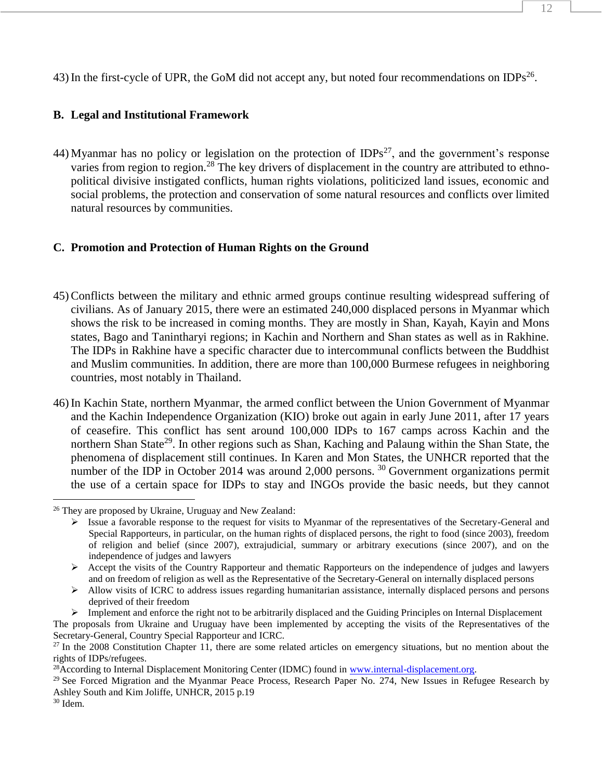43) In the first-cycle of UPR, the GoM did not accept any, but noted four recommendations on IDPs<sup>26</sup>.

# **B. Legal and Institutional Framework**

44) Myanmar has no policy or legislation on the protection of IDPs<sup>27</sup>, and the government's response varies from region to region.<sup>28</sup> The key drivers of displacement in the country are attributed to ethnopolitical divisive instigated conflicts, human rights violations, politicized land issues, economic and social problems, the protection and conservation of some natural resources and conflicts over limited natural resources by communities.

# **C. Promotion and Protection of Human Rights on the Ground**

- 45) Conflicts between the military and ethnic armed groups continue resulting widespread suffering of civilians. As of January 2015, there were an estimated 240,000 displaced persons in Myanmar which shows the risk to be increased in coming months. They are mostly in Shan, Kayah, Kayin and Mons states, Bago and Tanintharyi regions; in Kachin and Northern and Shan states as well as in Rakhine. The IDPs in Rakhine have a specific character due to intercommunal conflicts between the Buddhist and Muslim communities. In addition, there are more than 100,000 Burmese refugees in neighboring countries, most notably in Thailand.
- 46) In Kachin State, northern Myanmar, the armed conflict between the Union Government of Myanmar and the Kachin Independence Organization (KIO) broke out again in early June 2011, after 17 years of ceasefire. This conflict has sent around 100,000 IDPs to 167 camps across Kachin and the northern Shan State<sup>29</sup>. In other regions such as Shan, Kaching and Palaung within the Shan State, the phenomena of displacement still continues. In Karen and Mon States, the UNHCR reported that the number of the IDP in October 2014 was around 2,000 persons.<sup>30</sup> Government organizations permit the use of a certain space for IDPs to stay and INGOs provide the basic needs, but they cannot  $\overline{a}$

The proposals from Ukraine and Uruguay have been implemented by accepting the visits of the Representatives of the Secretary-General, Country Special Rapporteur and ICRC.

<sup>26</sup> They are proposed by Ukraine, Uruguay and New Zealand:

 $\triangleright$  Issue a favorable response to the request for visits to Myanmar of the representatives of the Secretary-General and Special Rapporteurs, in particular, on the human rights of displaced persons, the right to food (since 2003), freedom of religion and belief (since 2007), extrajudicial, summary or arbitrary executions (since 2007), and on the independence of judges and lawyers

 $\triangleright$  Accept the visits of the Country Rapporteur and thematic Rapporteurs on the independence of judges and lawyers and on freedom of religion as well as the Representative of the Secretary-General on internally displaced persons

 $\triangleright$  Allow visits of ICRC to address issues regarding humanitarian assistance, internally displaced persons and persons deprived of their freedom

 $\triangleright$  Implement and enforce the right not to be arbitrarily displaced and the Guiding Principles on Internal Displacement

 $27$  In the 2008 Constitution Chapter 11, there are some related articles on emergency situations, but no mention about the rights of IDPs/refugees.

<sup>&</sup>lt;sup>28</sup>According to Internal Displacement Monitoring Center (IDMC) found in [www.internal-displacement.org.](http://www.internal-displacement.org/)

 $29$  See Forced Migration and the Myanmar Peace Process, Research Paper No. 274, New Issues in Refugee Research by Ashley South and Kim Joliffe, UNHCR, 2015 p.19

 $30$  Idem.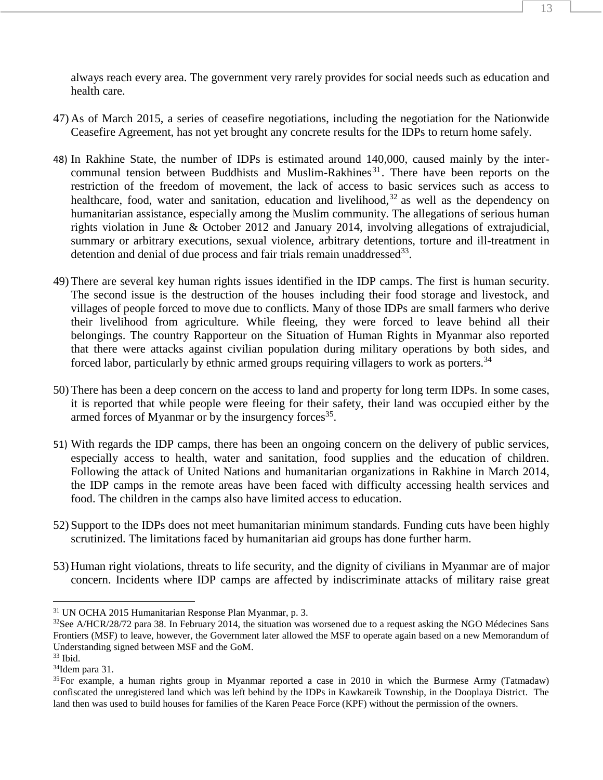always reach every area. The government very rarely provides for social needs such as education and health care.

- 47) As of March 2015, a series of ceasefire negotiations, including the negotiation for the Nationwide Ceasefire Agreement, has not yet brought any concrete results for the IDPs to return home safely.
- 48) In Rakhine State, the number of IDPs is estimated around 140,000, caused mainly by the intercommunal tension between Buddhists and Muslim-Rakhines<sup>31</sup>. There have been reports on the restriction of the freedom of movement, the lack of access to basic services such as access to healthcare, food, water and sanitation, education and livelihood,  $32$  as well as the dependency on humanitarian assistance, especially among the Muslim community. The allegations of serious human rights violation in June & October 2012 and January 2014, involving allegations of extrajudicial, summary or arbitrary executions, sexual violence, arbitrary detentions, torture and ill-treatment in detention and denial of due process and fair trials remain unaddressed<sup>33</sup>.
- 49) There are several key human rights issues identified in the IDP camps. The first is human security. The second issue is the destruction of the houses including their food storage and livestock, and villages of people forced to move due to conflicts. Many of those IDPs are small farmers who derive their livelihood from agriculture. While fleeing, they were forced to leave behind all their belongings. The country Rapporteur on the Situation of Human Rights in Myanmar also reported that there were attacks against civilian population during military operations by both sides, and forced labor, particularly by ethnic armed groups requiring villagers to work as porters.<sup>34</sup>
- 50) There has been a deep concern on the access to land and property for long term IDPs. In some cases, it is reported that while people were fleeing for their safety, their land was occupied either by the armed forces of Myanmar or by the insurgency forces<sup>35</sup>.
- 51) With regards the IDP camps, there has been an ongoing concern on the delivery of public services, especially access to health, water and sanitation, food supplies and the education of children. Following the attack of United Nations and humanitarian organizations in Rakhine in March 2014, the IDP camps in the remote areas have been faced with difficulty accessing health services and food. The children in the camps also have limited access to education.
- 52) Support to the IDPs does not meet humanitarian minimum standards. Funding cuts have been highly scrutinized. The limitations faced by humanitarian aid groups has done further harm.
- 53) Human right violations, threats to life security, and the dignity of civilians in Myanmar are of major concern. Incidents where IDP camps are affected by indiscriminate attacks of military raise great

 $\overline{a}$ 

<sup>31</sup> UN OCHA 2015 Humanitarian Response Plan Myanmar, p. 3.

 $32$ See A/HCR/28/72 para 38. In February 2014, the situation was worsened due to a request asking the NGO Médecines Sans Frontiers (MSF) to leave, however, the Government later allowed the MSF to operate again based on a new Memorandum of Understanding signed between MSF and the GoM.

 $33$  Ibid.

<sup>34</sup>Idem para 31.

<sup>&</sup>lt;sup>35</sup>For example, a human rights group in Myanmar reported a case in 2010 in which the Burmese Army (Tatmadaw) confiscated the unregistered land which was left behind by the IDPs in Kawkareik Township, in the Dooplaya District. The land then was used to build houses for families of the Karen Peace Force (KPF) without the permission of the owners.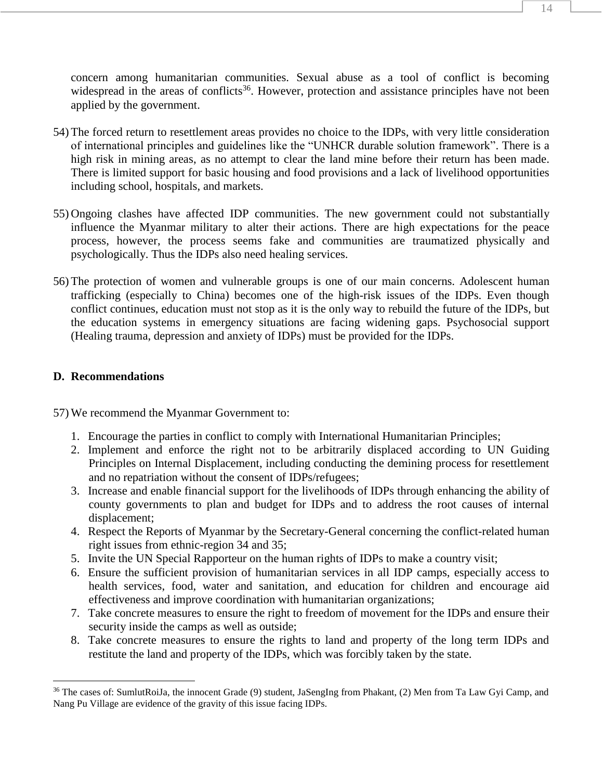concern among humanitarian communities. Sexual abuse as a tool of conflict is becoming widespread in the areas of conflicts<sup>36</sup>. However, protection and assistance principles have not been applied by the government.

- 54) The forced return to resettlement areas provides no choice to the IDPs, with very little consideration of international principles and guidelines like the "UNHCR durable solution framework". There is a high risk in mining areas, as no attempt to clear the land mine before their return has been made. There is limited support for basic housing and food provisions and a lack of livelihood opportunities including school, hospitals, and markets.
- 55) Ongoing clashes have affected IDP communities. The new government could not substantially influence the Myanmar military to alter their actions. There are high expectations for the peace process, however, the process seems fake and communities are traumatized physically and psychologically. Thus the IDPs also need healing services.
- 56) The protection of women and vulnerable groups is one of our main concerns. Adolescent human trafficking (especially to China) becomes one of the high-risk issues of the IDPs. Even though conflict continues, education must not stop as it is the only way to rebuild the future of the IDPs, but the education systems in emergency situations are facing widening gaps. Psychosocial support (Healing trauma, depression and anxiety of IDPs) must be provided for the IDPs.

# **D. Recommendations**

 $\overline{a}$ 

- 1. Encourage the parties in conflict to comply with International Humanitarian Principles;
- 2. Implement and enforce the right not to be arbitrarily displaced according to UN Guiding Principles on Internal Displacement, including conducting the demining process for resettlement and no repatriation without the consent of IDPs/refugees;
- 3. Increase and enable financial support for the livelihoods of IDPs through enhancing the ability of county governments to plan and budget for IDPs and to address the root causes of internal displacement;
- 4. Respect the Reports of Myanmar by the Secretary-General concerning the conflict-related human right issues from ethnic-region 34 and 35;
- 5. Invite the UN Special Rapporteur on the human rights of IDPs to make a country visit;
- 6. Ensure the sufficient provision of humanitarian services in all IDP camps, especially access to health services, food, water and sanitation, and education for children and encourage aid effectiveness and improve coordination with humanitarian organizations;
- 7. Take concrete measures to ensure the right to freedom of movement for the IDPs and ensure their security inside the camps as well as outside;
- 8. Take concrete measures to ensure the rights to land and property of the long term IDPs and restitute the land and property of the IDPs, which was forcibly taken by the state.

<sup>36</sup> The cases of: SumlutRoiJa, the innocent Grade (9) student, JaSengIng from Phakant, (2) Men from Ta Law Gyi Camp, and Nang Pu Village are evidence of the gravity of this issue facing IDPs.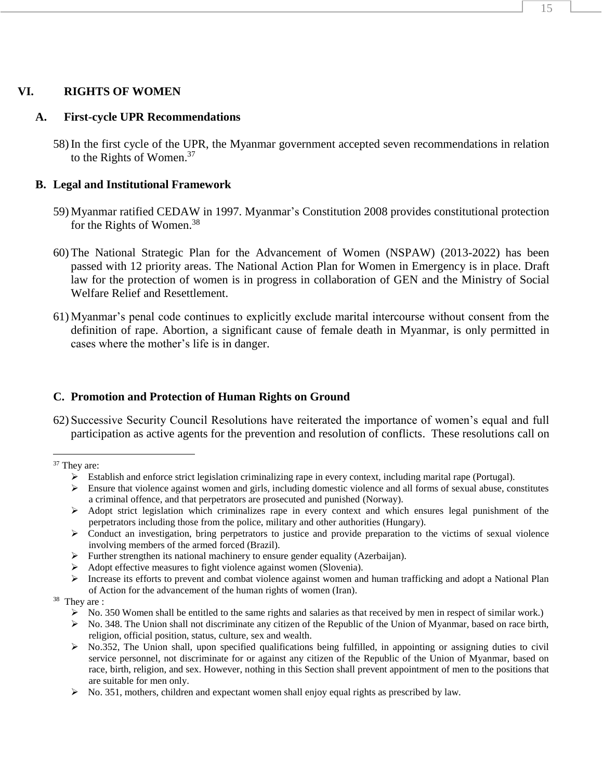#### **VI. RIGHTS OF WOMEN**

#### **A. First-cycle UPR Recommendations**

58) In the first cycle of the UPR, the Myanmar government accepted seven recommendations in relation to the Rights of Women.<sup>37</sup>

#### **B. Legal and Institutional Framework**

- 59) Myanmar ratified CEDAW in 1997. Myanmar's Constitution 2008 provides constitutional protection for the Rights of Women.<sup>38</sup>
- 60) The National Strategic Plan for the Advancement of Women (NSPAW) (2013-2022) has been passed with 12 priority areas. The National Action Plan for Women in Emergency is in place. Draft law for the protection of women is in progress in collaboration of GEN and the Ministry of Social Welfare Relief and Resettlement.
- 61) Myanmar's penal code continues to explicitly exclude marital intercourse without consent from the definition of rape. Abortion, a significant cause of female death in Myanmar, is only permitted in cases where the mother's life is in danger.

#### **C. Promotion and Protection of Human Rights on Ground**

62) Successive Security Council Resolutions have reiterated the importance of women's equal and full participation as active agents for the prevention and resolution of conflicts. These resolutions call on

 $\overline{a}$ 

- $\triangleright$  Establish and enforce strict legislation criminalizing rape in every context, including marital rape (Portugal).
- Ensure that violence against women and girls, including domestic violence and all forms of sexual abuse, constitutes a criminal offence, and that perpetrators are prosecuted and punished (Norway).
- $\triangleright$  Adopt strict legislation which criminalizes rape in every context and which ensures legal punishment of the perpetrators including those from the police, military and other authorities (Hungary).
- $\triangleright$  Conduct an investigation, bring perpetrators to justice and provide preparation to the victims of sexual violence involving members of the armed forced (Brazil).
- $\triangleright$  Further strengthen its national machinery to ensure gender equality (Azerbaijan).
- Adopt effective measures to fight violence against women (Slovenia).
- $\triangleright$  Increase its efforts to prevent and combat violence against women and human trafficking and adopt a National Plan of Action for the advancement of the human rights of women (Iran).
- <sup>38</sup> They are :
	- $\triangleright$  No. 350 Women shall be entitled to the same rights and salaries as that received by men in respect of similar work.)
	- $\triangleright$  No. 348. The Union shall not discriminate any citizen of the Republic of the Union of Myanmar, based on race birth, religion, official position, status, culture, sex and wealth.
	- $\triangleright$  No.352, The Union shall, upon specified qualifications being fulfilled, in appointing or assigning duties to civil service personnel, not discriminate for or against any citizen of the Republic of the Union of Myanmar, based on race, birth, religion, and sex. However, nothing in this Section shall prevent appointment of men to the positions that are suitable for men only.
	- $\triangleright$  No. 351, mothers, children and expectant women shall enjoy equal rights as prescribed by law.

<sup>&</sup>lt;sup>37</sup> They are: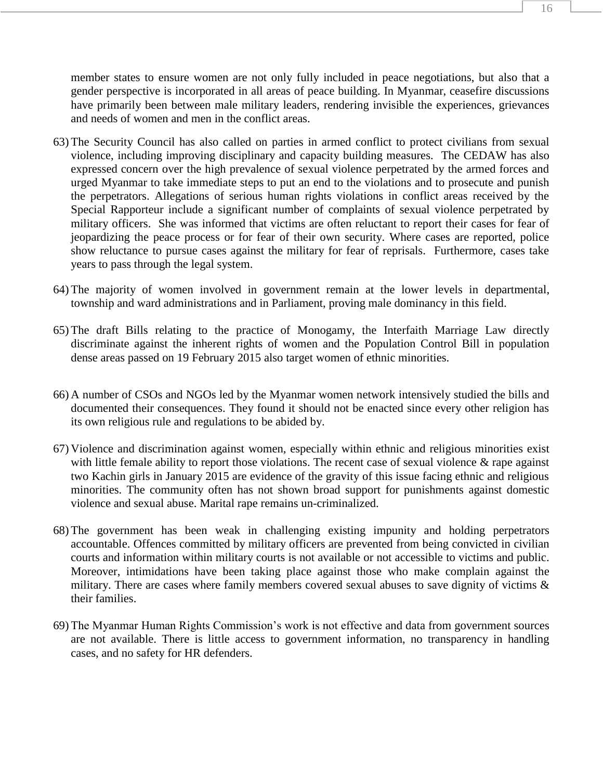member states to ensure women are not only fully included in peace negotiations, but also that a gender perspective is incorporated in all areas of peace building. In Myanmar, ceasefire discussions have primarily been between male military leaders, rendering invisible the experiences, grievances and needs of women and men in the conflict areas.

- 63) The Security Council has also called on parties in armed conflict to protect civilians from sexual violence, including improving disciplinary and capacity building measures. The CEDAW has also expressed concern over the high prevalence of sexual violence perpetrated by the armed forces and urged Myanmar to take immediate steps to put an end to the violations and to prosecute and punish the perpetrators. Allegations of serious human rights violations in conflict areas received by the Special Rapporteur include a significant number of complaints of sexual violence perpetrated by military officers. She was informed that victims are often reluctant to report their cases for fear of jeopardizing the peace process or for fear of their own security. Where cases are reported, police show reluctance to pursue cases against the military for fear of reprisals. Furthermore, cases take years to pass through the legal system.
- 64) The majority of women involved in government remain at the lower levels in departmental, township and ward administrations and in Parliament, proving male dominancy in this field.
- 65) The draft Bills relating to the practice of Monogamy, the Interfaith Marriage Law directly discriminate against the inherent rights of women and the Population Control Bill in population dense areas passed on 19 February 2015 also target women of ethnic minorities.
- 66) A number of CSOs and NGOs led by the Myanmar women network intensively studied the bills and documented their consequences. They found it should not be enacted since every other religion has its own religious rule and regulations to be abided by.
- 67) Violence and discrimination against women, especially within ethnic and religious minorities exist with little female ability to report those violations. The recent case of sexual violence & rape against two Kachin girls in January 2015 are evidence of the gravity of this issue facing ethnic and religious minorities. The community often has not shown broad support for punishments against domestic violence and sexual abuse. Marital rape remains un-criminalized.
- 68) The government has been weak in challenging existing impunity and holding perpetrators accountable. Offences committed by military officers are prevented from being convicted in civilian courts and information within military courts is not available or not accessible to victims and public. Moreover, intimidations have been taking place against those who make complain against the military. There are cases where family members covered sexual abuses to save dignity of victims & their families.
- 69) The Myanmar Human Rights Commission's work is not effective and data from government sources are not available. There is little access to government information, no transparency in handling cases, and no safety for HR defenders.